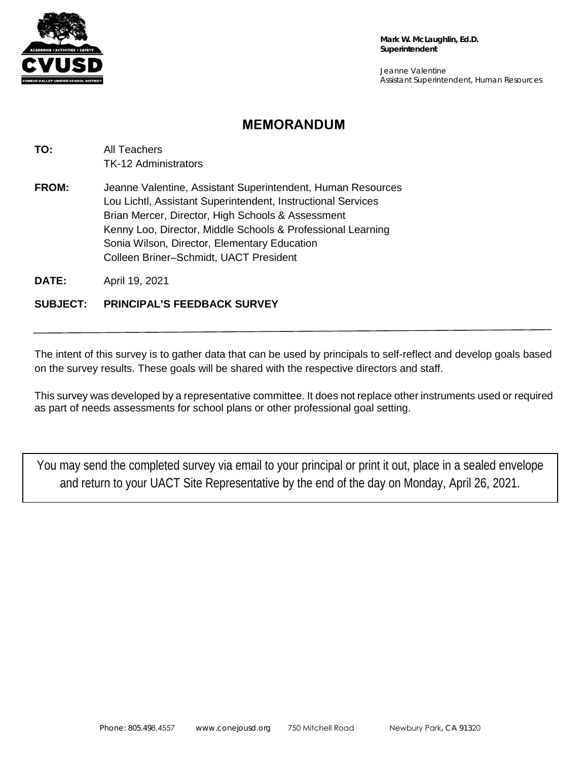

Jeanne Valentine Assistant Superintendent, Human Resources

## **MEMORANDUM**

**TO:** All Teachers TK-12 Administrators **FROM:** Jeanne Valentine, Assistant Superintendent, Human Resources Lou Lichtl, Assistant Superintendent, Instructional Services Brian Mercer, Director, High Schools & Assessment Kenny Loo, Director, Middle Schools & Professional Learning Sonia Wilson, Director, Elementary Education Colleen Briner–Schmidt, UACT President

**DATE:** April 19, 2021

## **SUBJECT: PRINCIPAL'S FEEDBACK SURVEY**

The intent of this survey is to gather data that can be used by principals to self-reflect and develop goals based on the survey results. These goals will be shared with the respective directors and staff.

This survey was developed by a representative committee. It does not replace other instruments used or required as part of needs assessments for school plans or other professional goal setting.

You may send the completed survey via email to your principal or print it out, place in a sealed envelope and return to your UACT Site Representative by the end of the day on Monday, April 26, 2021.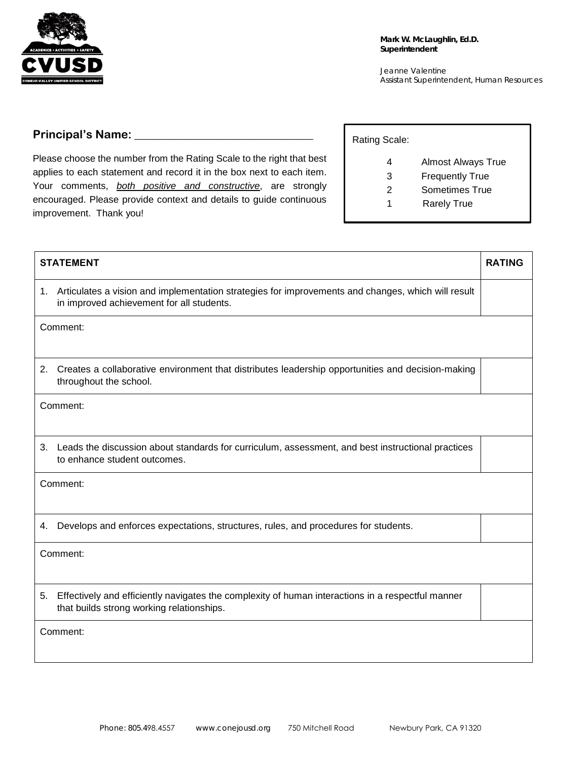

Jeanne Valentine Assistant Superintendent, Human Resources

## **Principal's Name: \_\_\_\_\_\_\_\_\_\_\_\_\_\_\_\_\_\_\_\_\_\_\_\_\_\_\_\_\_\_\_**

Please choose the number from the Rating Scale to the right that best applies to each statement and record it in the box next to each item. Your comments, *both positive and constructive*, are strongly encouraged. Please provide context and details to guide continuous improvement. Thank you!

| Rating Scale: |                           |
|---------------|---------------------------|
|               | <b>Almost Always True</b> |
| 3             | <b>Frequently True</b>    |
| 2             | Sometimes True            |
|               | <b>Rarely True</b>        |

| <b>STATEMENT</b>                                                                                                                                     | <b>RATING</b> |
|------------------------------------------------------------------------------------------------------------------------------------------------------|---------------|
| 1. Articulates a vision and implementation strategies for improvements and changes, which will result<br>in improved achievement for all students.   |               |
| Comment:                                                                                                                                             |               |
| Creates a collaborative environment that distributes leadership opportunities and decision-making<br>2.<br>throughout the school.                    |               |
| Comment:                                                                                                                                             |               |
| Leads the discussion about standards for curriculum, assessment, and best instructional practices<br>3.<br>to enhance student outcomes.              |               |
| Comment:                                                                                                                                             |               |
| Develops and enforces expectations, structures, rules, and procedures for students.<br>4.                                                            |               |
| Comment:                                                                                                                                             |               |
| Effectively and efficiently navigates the complexity of human interactions in a respectful manner<br>5.<br>that builds strong working relationships. |               |
| Comment:                                                                                                                                             |               |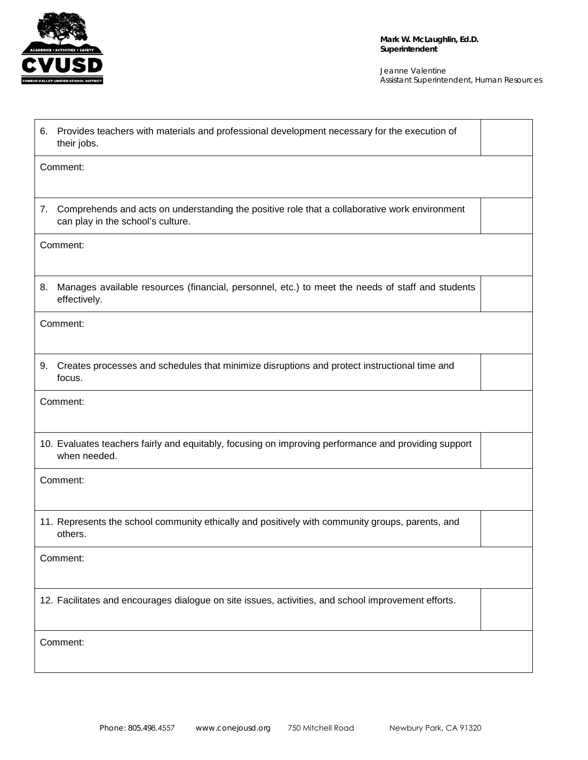

> Jeanne Valentine Assistant Superintendent, Human Resources

| Provides teachers with materials and professional development necessary for the execution of<br>6.<br>their jobs.                     |  |  |
|---------------------------------------------------------------------------------------------------------------------------------------|--|--|
| Comment:                                                                                                                              |  |  |
| 7. Comprehends and acts on understanding the positive role that a collaborative work environment<br>can play in the school's culture. |  |  |
| Comment:                                                                                                                              |  |  |
| Manages available resources (financial, personnel, etc.) to meet the needs of staff and students<br>8.<br>effectively.                |  |  |
| Comment:                                                                                                                              |  |  |
| Creates processes and schedules that minimize disruptions and protect instructional time and<br>9.<br>focus.                          |  |  |
| Comment:                                                                                                                              |  |  |
| 10. Evaluates teachers fairly and equitably, focusing on improving performance and providing support<br>when needed.                  |  |  |
| Comment:                                                                                                                              |  |  |
| 11. Represents the school community ethically and positively with community groups, parents, and<br>others.                           |  |  |
| Comment:                                                                                                                              |  |  |
| 12. Facilitates and encourages dialogue on site issues, activities, and school improvement efforts.                                   |  |  |
| Comment:                                                                                                                              |  |  |